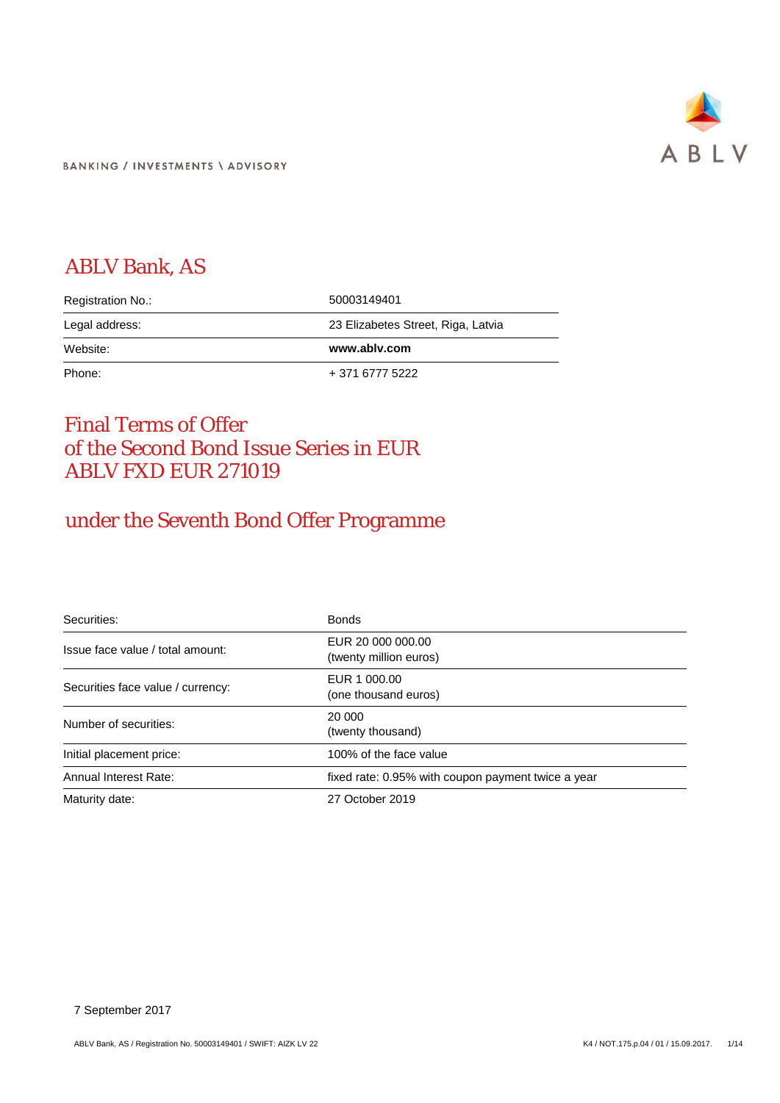

**BANKING / INVESTMENTS \ ADVISORY** 

# ABLV Bank, AS

| Registration No.: | 50003149401                        |
|-------------------|------------------------------------|
| Legal address:    | 23 Elizabetes Street, Riga, Latvia |
| Website:          | www.ablv.com                       |
| Phone:            | + 371 6777 5222                    |

## Final Terms of Offer of the Second Bond Issue Series in EUR ABLV FXD EUR 271019

# under the Seventh Bond Offer Programme

| Securities:                       | <b>Bonds</b>                                       |  |
|-----------------------------------|----------------------------------------------------|--|
| Issue face value / total amount:  | EUR 20 000 000.00<br>(twenty million euros)        |  |
| Securities face value / currency: | EUR 1 000.00<br>(one thousand euros)               |  |
| Number of securities:             | 20 000<br>(twenty thousand)                        |  |
| Initial placement price:          | 100% of the face value                             |  |
| Annual Interest Rate:             | fixed rate: 0.95% with coupon payment twice a year |  |
| Maturity date:                    | 27 October 2019                                    |  |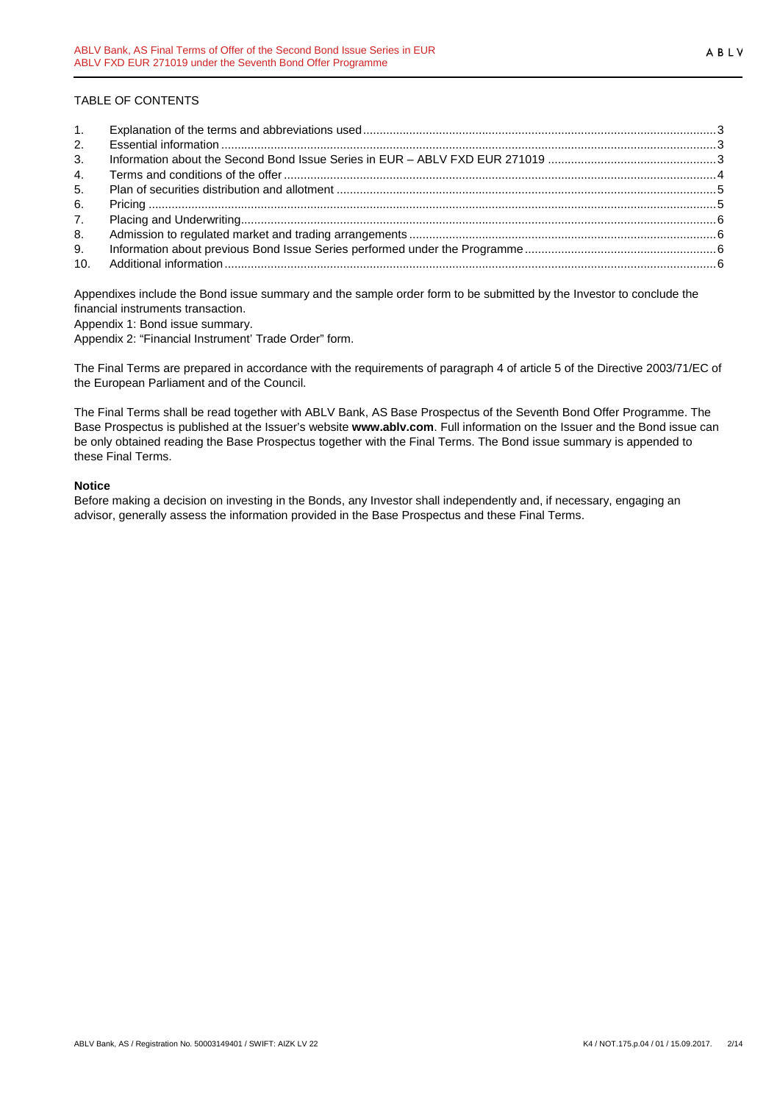| 2. |  |
|----|--|
| 3. |  |
| 4. |  |
| 5. |  |
| 6. |  |
| 7. |  |
| 8. |  |
| 9. |  |
|    |  |

Appendixes include the Bond issue summary and the sample order form to be submitted by the Investor to conclude the financial instruments transaction. Appendix 1: Bond issue summary.

Appendix 2: "Financial Instrument' Trade Order" form.

The Final Terms are prepared in accordance with the requirements of paragraph 4 of article 5 of the Directive 2003/71/EC of the European Parliament and of the Council.

The Final Terms shall be read together with ABLV Bank, AS Base Prospectus of the Seventh Bond Offer Programme. The Base Prospectus is published at the Issuer's website **www.ablv.com**. Full information on the Issuer and the Bond issue can be only obtained reading the Base Prospectus together with the Final Terms. The Bond issue summary is appended to these Final Terms.

### **Notice**

Before making a decision on investing in the Bonds, any Investor shall independently and, if necessary, engaging an advisor, generally assess the information provided in the Base Prospectus and these Final Terms.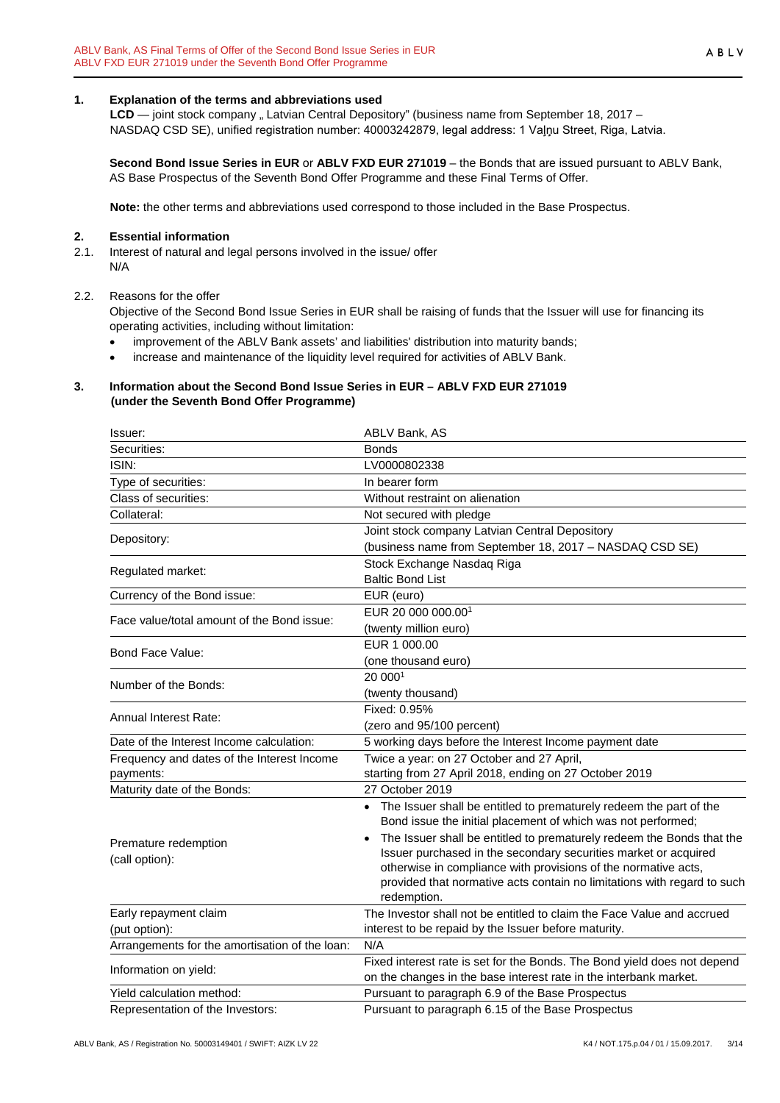## <span id="page-2-0"></span>**1. Explanation of the terms and abbreviations used**

LCD — joint stock company "Latvian Central Depository" (business name from September 18, 2017 – NASDAQ CSD SE), unified registration number: 40003242879, legal address: 1 Vaļņu Street, Riga, Latvia.

**Second Bond Issue Series in EUR** or **ABLV FXD EUR 271019** – the Bonds that are issued pursuant to ABLV Bank, AS Base Prospectus of the Seventh Bond Offer Programme and these Final Terms of Offer.

**Note:** the other terms and abbreviations used correspond to those included in the Base Prospectus.

### <span id="page-2-1"></span>**2. Essential information**

2.1. Interest of natural and legal persons involved in the issue/ offer N/A

### 2.2. Reasons for the offer

Objective of the Second Bond Issue Series in EUR shall be raising of funds that the Issuer will use for financing its operating activities, including without limitation:

- improvement of the ABLV Bank assets' and liabilities' distribution into maturity bands;
- increase and maintenance of the liquidity level required for activities of ABLV Bank.

### <span id="page-2-2"></span>**3. Information about the Second Bond Issue Series in EUR – ABLV FXD EUR 271019 (under the Seventh Bond Offer Programme)**

| Issuer:                                        | ABLV Bank, AS                                                                                                                        |
|------------------------------------------------|--------------------------------------------------------------------------------------------------------------------------------------|
| Securities:                                    | <b>Bonds</b>                                                                                                                         |
| ISIN:                                          | LV0000802338                                                                                                                         |
| Type of securities:                            | In bearer form                                                                                                                       |
| Class of securities:                           | Without restraint on alienation                                                                                                      |
| Collateral:                                    | Not secured with pledge                                                                                                              |
| Depository:                                    | Joint stock company Latvian Central Depository                                                                                       |
|                                                | (business name from September 18, 2017 - NASDAQ CSD SE)                                                                              |
| Regulated market:                              | Stock Exchange Nasdaq Riga                                                                                                           |
|                                                | <b>Baltic Bond List</b>                                                                                                              |
| Currency of the Bond issue:                    | EUR (euro)                                                                                                                           |
| Face value/total amount of the Bond issue:     | EUR 20 000 000,001                                                                                                                   |
|                                                | (twenty million euro)                                                                                                                |
| Bond Face Value:                               | EUR 1 000.00                                                                                                                         |
|                                                | (one thousand euro)                                                                                                                  |
| Number of the Bonds:                           | 20 0001                                                                                                                              |
|                                                | (twenty thousand)                                                                                                                    |
| Annual Interest Rate:                          | Fixed: 0.95%                                                                                                                         |
|                                                | (zero and 95/100 percent)                                                                                                            |
| Date of the Interest Income calculation:       | 5 working days before the Interest Income payment date                                                                               |
| Frequency and dates of the Interest Income     | Twice a year: on 27 October and 27 April,                                                                                            |
| payments:                                      | starting from 27 April 2018, ending on 27 October 2019                                                                               |
| Maturity date of the Bonds:                    | 27 October 2019                                                                                                                      |
|                                                | • The Issuer shall be entitled to prematurely redeem the part of the<br>Bond issue the initial placement of which was not performed; |
|                                                | The Issuer shall be entitled to prematurely redeem the Bonds that the                                                                |
| Premature redemption                           | Issuer purchased in the secondary securities market or acquired                                                                      |
| (call option):                                 | otherwise in compliance with provisions of the normative acts,                                                                       |
|                                                | provided that normative acts contain no limitations with regard to such                                                              |
|                                                | redemption.                                                                                                                          |
| Early repayment claim                          | The Investor shall not be entitled to claim the Face Value and accrued                                                               |
| (put option):                                  | interest to be repaid by the Issuer before maturity.                                                                                 |
| Arrangements for the amortisation of the loan: | N/A                                                                                                                                  |
|                                                | Fixed interest rate is set for the Bonds. The Bond yield does not depend                                                             |
| Information on yield:                          | on the changes in the base interest rate in the interbank market.                                                                    |
| Yield calculation method:                      | Pursuant to paragraph 6.9 of the Base Prospectus                                                                                     |
| Representation of the Investors:               | Pursuant to paragraph 6.15 of the Base Prospectus                                                                                    |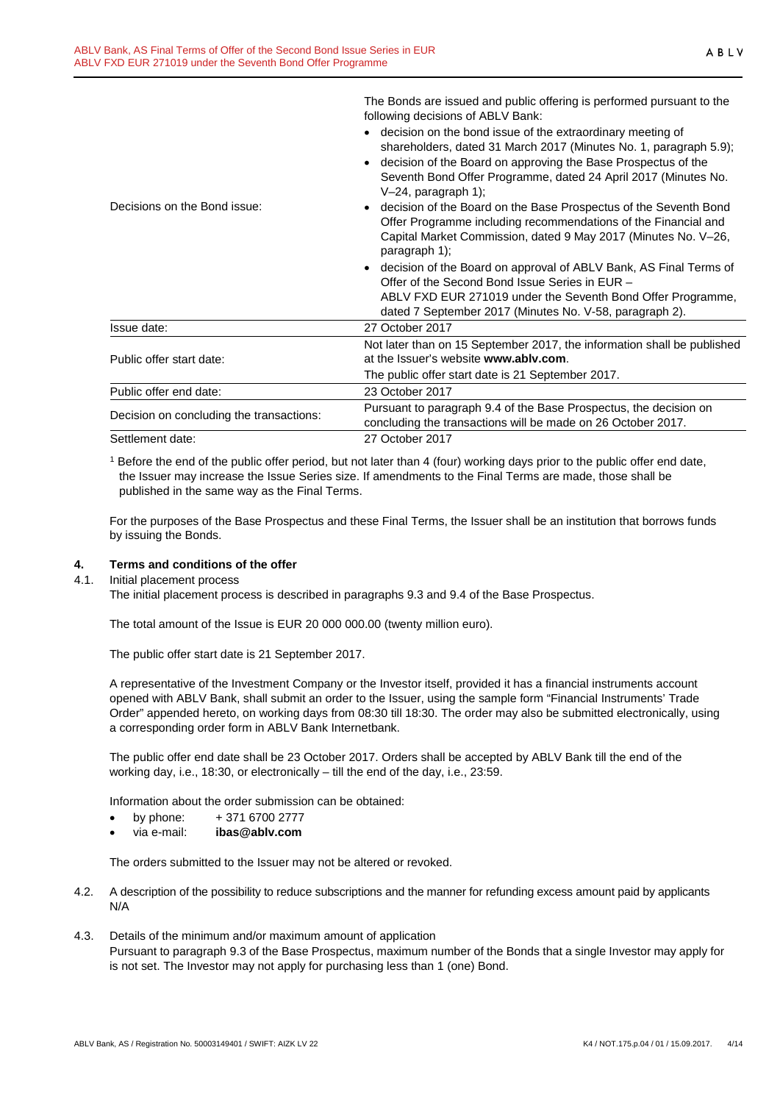|                                          | following decisions of ABLV Bank:                                                                                                  |  |  |  |
|------------------------------------------|------------------------------------------------------------------------------------------------------------------------------------|--|--|--|
|                                          | decision on the bond issue of the extraordinary meeting of                                                                         |  |  |  |
|                                          | shareholders, dated 31 March 2017 (Minutes No. 1, paragraph 5.9);                                                                  |  |  |  |
|                                          | decision of the Board on approving the Base Prospectus of the<br>$\bullet$                                                         |  |  |  |
|                                          | Seventh Bond Offer Programme, dated 24 April 2017 (Minutes No.                                                                     |  |  |  |
|                                          | $V-24$ , paragraph 1);                                                                                                             |  |  |  |
| Decisions on the Bond issue:             | decision of the Board on the Base Prospectus of the Seventh Bond<br>Offer Programme including recommendations of the Financial and |  |  |  |
|                                          | Capital Market Commission, dated 9 May 2017 (Minutes No. V-26,                                                                     |  |  |  |
|                                          | paragraph 1);                                                                                                                      |  |  |  |
|                                          | decision of the Board on approval of ABLV Bank, AS Final Terms of                                                                  |  |  |  |
|                                          | Offer of the Second Bond Issue Series in EUR -                                                                                     |  |  |  |
|                                          | ABLV FXD EUR 271019 under the Seventh Bond Offer Programme,                                                                        |  |  |  |
|                                          | dated 7 September 2017 (Minutes No. V-58, paragraph 2).                                                                            |  |  |  |
| Issue date:                              | 27 October 2017                                                                                                                    |  |  |  |
|                                          | Not later than on 15 September 2017, the information shall be published                                                            |  |  |  |
| Public offer start date:                 | at the Issuer's website www.ably.com.                                                                                              |  |  |  |
|                                          | The public offer start date is 21 September 2017.                                                                                  |  |  |  |
| Public offer end date:                   | 23 October 2017                                                                                                                    |  |  |  |
| Decision on concluding the transactions: | Pursuant to paragraph 9.4 of the Base Prospectus, the decision on                                                                  |  |  |  |
|                                          | concluding the transactions will be made on 26 October 2017.                                                                       |  |  |  |
| 27 October 2017<br>Settlement date:      |                                                                                                                                    |  |  |  |

The Bonds are issued and public offering is performed pursuant to the

<sup>1</sup> Before the end of the public offer period, but not later than 4 (four) working days prior to the public offer end date, the Issuer may increase the Issue Series size. If amendments to the Final Terms are made, those shall be published in the same way as the Final Terms.

For the purposes of the Base Prospectus and these Final Terms, the Issuer shall be an institution that borrows funds by issuing the Bonds.

## <span id="page-3-0"></span>**4. Terms and conditions of the offer**

4.1. Initial placement process

The initial placement process is described in paragraphs 9.3 and 9.4 of the Base Prospectus.

The total amount of the Issue is EUR 20 000 000.00 (twenty million euro).

The public offer start date is 21 September 2017.

A representative of the Investment Company or the Investor itself, provided it has a financial instruments account opened with ABLV Bank, shall submit an order to the Issuer, using the sample form "Financial Instruments' Trade Order" appended hereto, on working days from 08:30 till 18:30. The order may also be submitted electronically, using a corresponding order form in ABLV Bank Internetbank.

The public offer end date shall be 23 October 2017. Orders shall be accepted by ABLV Bank till the end of the working day, i.e., 18:30, or electronically – till the end of the day, i.e., 23:59.

Information about the order submission can be obtained:

- by phone:  $+371\,6700\,2777$
- via e-mail: **ibas@ablv.com**

The orders submitted to the Issuer may not be altered or revoked.

- 4.2. A description of the possibility to reduce subscriptions and the manner for refunding excess amount paid by applicants N/A
- 4.3. Details of the minimum and/or maximum amount of application Pursuant to paragraph 9.3 of the Base Prospectus, maximum number of the Bonds that a single Investor may apply for is not set. The Investor may not apply for purchasing less than 1 (one) Bond.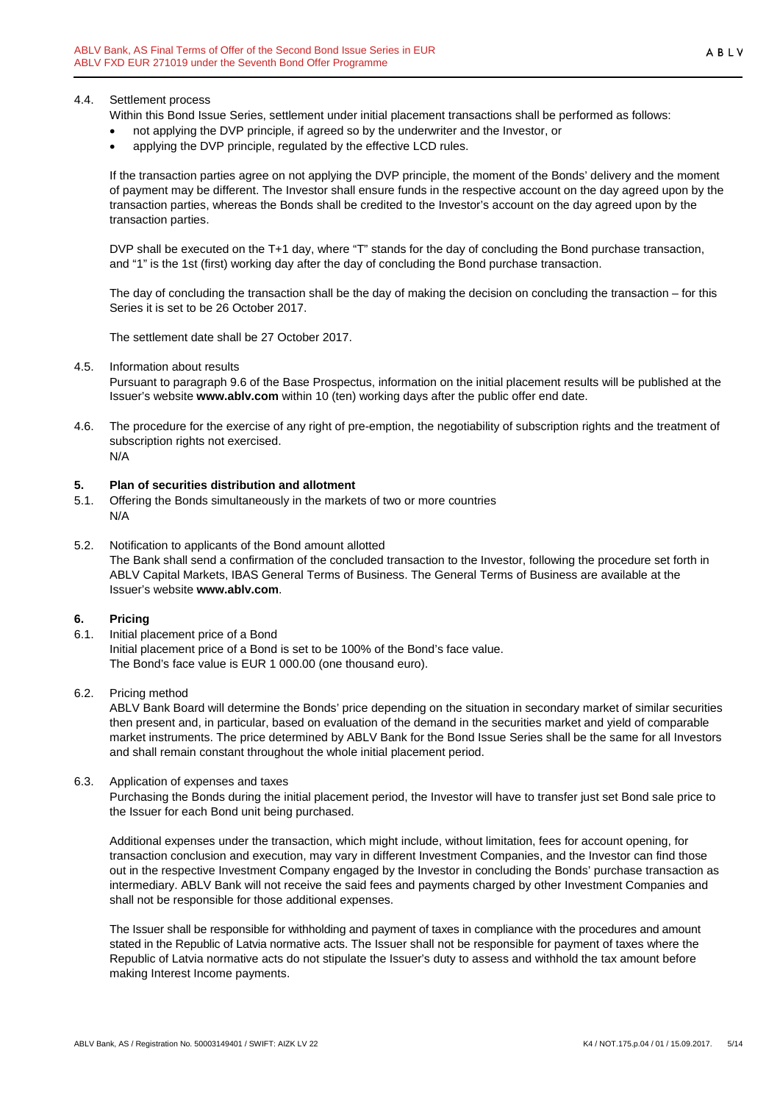### 4.4. Settlement process

Within this Bond Issue Series, settlement under initial placement transactions shall be performed as follows:

- not applying the DVP principle, if agreed so by the underwriter and the Investor, or
- applying the DVP principle, regulated by the effective LCD rules.

If the transaction parties agree on not applying the DVP principle, the moment of the Bonds' delivery and the moment of payment may be different. The Investor shall ensure funds in the respective account on the day agreed upon by the transaction parties, whereas the Bonds shall be credited to the Investor's account on the day agreed upon by the transaction parties.

DVP shall be executed on the T+1 day, where "T" stands for the day of concluding the Bond purchase transaction, and "1" is the 1st (first) working day after the day of concluding the Bond purchase transaction.

The day of concluding the transaction shall be the day of making the decision on concluding the transaction – for this Series it is set to be 26 October 2017.

The settlement date shall be 27 October 2017.

#### 4.5. Information about results

Pursuant to paragraph 9.6 of the Base Prospectus, information on the initial placement results will be published at the Issuer's website **www.ablv.com** within 10 (ten) working days after the public offer end date.

4.6. The procedure for the exercise of any right of pre-emption, the negotiability of subscription rights and the treatment of subscription rights not exercised. N/A

#### <span id="page-4-0"></span>**5. Plan of securities distribution and allotment**

- 5.1. Offering the Bonds simultaneously in the markets of two or more countries N/A
- 5.2. Notification to applicants of the Bond amount allotted The Bank shall send a confirmation of the concluded transaction to the Investor, following the procedure set forth in ABLV Capital Markets, IBAS General Terms of Business. The General Terms of Business are available at the Issuer's website **[www.ablv.com](http://www.ablv.com/)**.

#### <span id="page-4-1"></span>**6. Pricing**

6.1. Initial placement price of a Bond Initial placement price of a Bond is set to be 100% of the Bond's face value. The Bond's face value is EUR 1 000.00 (one thousand euro).

#### 6.2. Pricing method

ABLV Bank Board will determine the Bonds' price depending on the situation in secondary market of similar securities then present and, in particular, based on evaluation of the demand in the securities market and yield of comparable market instruments. The price determined by ABLV Bank for the Bond Issue Series shall be the same for all Investors and shall remain constant throughout the whole initial placement period.

6.3. Application of expenses and taxes

Purchasing the Bonds during the initial placement period, the Investor will have to transfer just set Bond sale price to the Issuer for each Bond unit being purchased.

Additional expenses under the transaction, which might include, without limitation, fees for account opening, for transaction conclusion and execution, may vary in different Investment Companies, and the Investor can find those out in the respective Investment Company engaged by the Investor in concluding the Bonds' purchase transaction as intermediary. ABLV Bank will not receive the said fees and payments charged by other Investment Companies and shall not be responsible for those additional expenses.

The Issuer shall be responsible for withholding and payment of taxes in compliance with the procedures and amount stated in the Republic of Latvia normative acts. The Issuer shall not be responsible for payment of taxes where the Republic of Latvia normative acts do not stipulate the Issuer's duty to assess and withhold the tax amount before making Interest Income payments.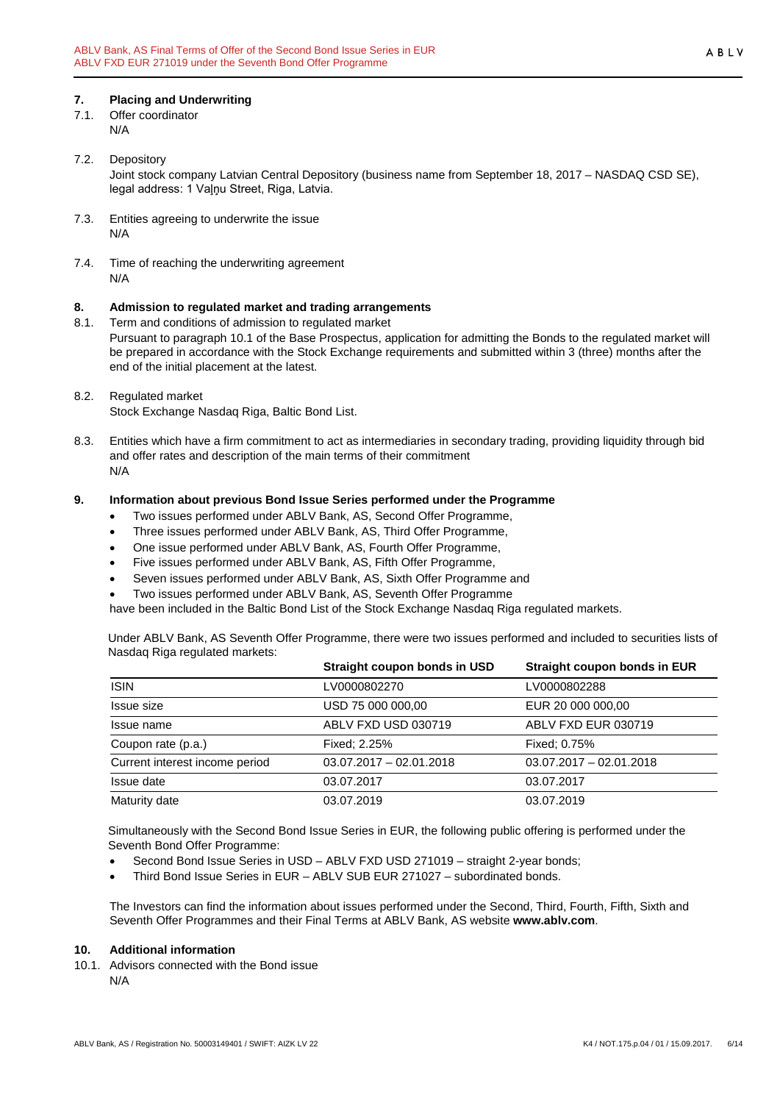## <span id="page-5-0"></span>**7. Placing and Underwriting**

- 7.1. Offer coordinator N/A
	-
- 7.2. Depository Joint stock company Latvian Central Depository (business name from September 18, 2017 – NASDAQ CSD SE), legal address: 1 Vaļņu Street, Riga, Latvia.
- 7.3. Entities agreeing to underwrite the issue N/A
- 7.4. Time of reaching the underwriting agreement N/A

## <span id="page-5-1"></span>**8. Admission to regulated market and trading arrangements**

- 8.1. Term and conditions of admission to regulated market Pursuant to paragraph 10.1 of the Base Prospectus, application for admitting the Bonds to the regulated market will be prepared in accordance with the Stock Exchange requirements and submitted within 3 (three) months after the end of the initial placement at the latest.
- 8.2. Regulated market

Stock Exchange Nasdaq Riga, Baltic Bond List.

8.3. Entities which have a firm commitment to act as intermediaries in secondary trading, providing liquidity through bid and offer rates and description of the main terms of their commitment N/A

## <span id="page-5-2"></span>**9. Information about previous Bond Issue Series performed under the Programme**

- Two issues performed under ABLV Bank, AS, Second Offer Programme,
- Three issues performed under ABLV Bank, AS, Third Offer Programme,
- One issue performed under ABLV Bank, AS, Fourth Offer Programme,
- Five issues performed under ABLV Bank, AS, Fifth Offer Programme,
- Seven issues performed under ABLV Bank, AS, Sixth Offer Programme and
- Two issues performed under ABLV Bank, AS, Seventh Offer Programme

have been included in the Baltic Bond List of the Stock Exchange Nasdaq Riga regulated markets.

Under ABLV Bank, AS Seventh Offer Programme, there were two issues performed and included to securities lists of Nasdaq Riga regulated markets:

|                                | Straight coupon bonds in USD | Straight coupon bonds in EUR |
|--------------------------------|------------------------------|------------------------------|
| <b>ISIN</b>                    | LV0000802270                 | LV0000802288                 |
| Issue size                     | USD 75 000 000,00            | EUR 20 000 000,00            |
| Issue name                     | ABLV FXD USD 030719          | ABLV FXD EUR 030719          |
| Coupon rate (p.a.)             | Fixed: 2.25%                 | Fixed: 0.75%                 |
| Current interest income period | $03.07.2017 - 02.01.2018$    | $03.07.2017 - 02.01.2018$    |
| Issue date                     | 03.07.2017                   | 03.07.2017                   |
| Maturity date                  | 03.07.2019                   | 03.07.2019                   |

Simultaneously with the Second Bond Issue Series in EUR, the following public offering is performed under the Seventh Bond Offer Programme:

- Second Bond Issue Series in USD ABLV FXD USD 271019 straight 2-year bonds;
- Third Bond Issue Series in EUR ABLV SUB EUR 271027 subordinated bonds.

The Investors can find the information about issues performed under the Second, Third, Fourth, Fifth, Sixth and Seventh Offer Programmes and their Final Terms at ABLV Bank, AS website **[www.ablv.com](http://www.ablv.com/)**.

## <span id="page-5-3"></span>**10. Additional information**

10.1. Advisors connected with the Bond issue N/A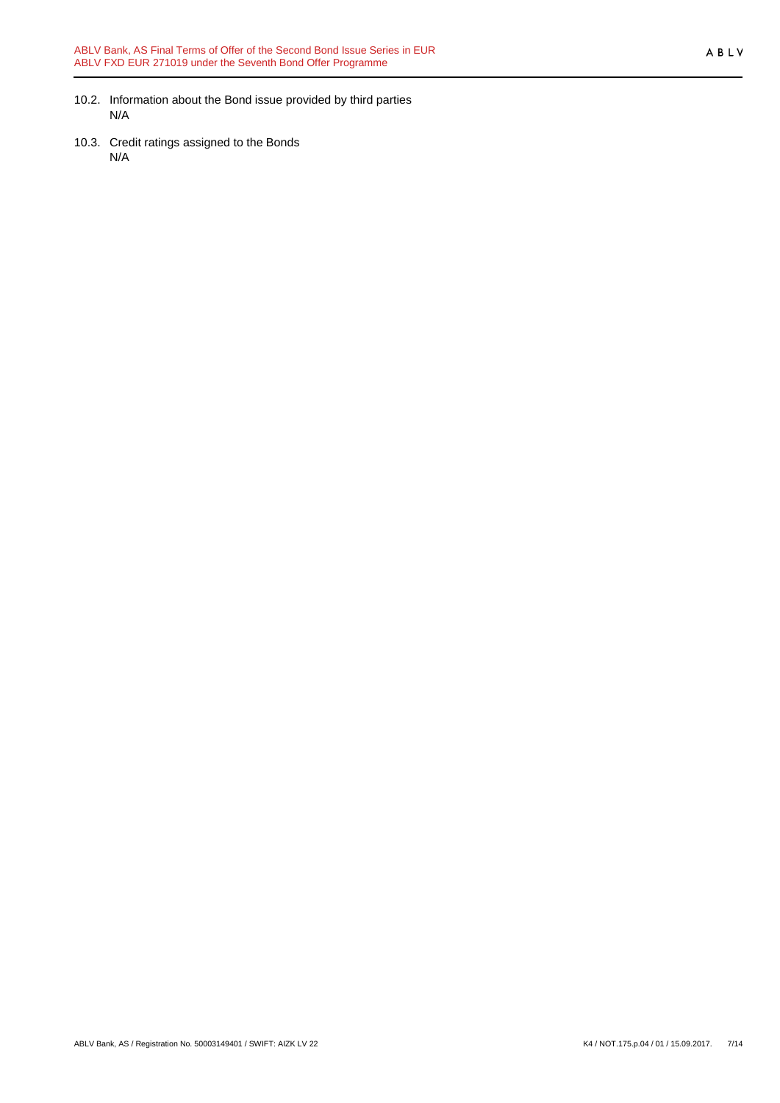ABLV

- 10.2. Information about the Bond issue provided by third parties N/A
- 10.3. Credit ratings assigned to the Bonds N/A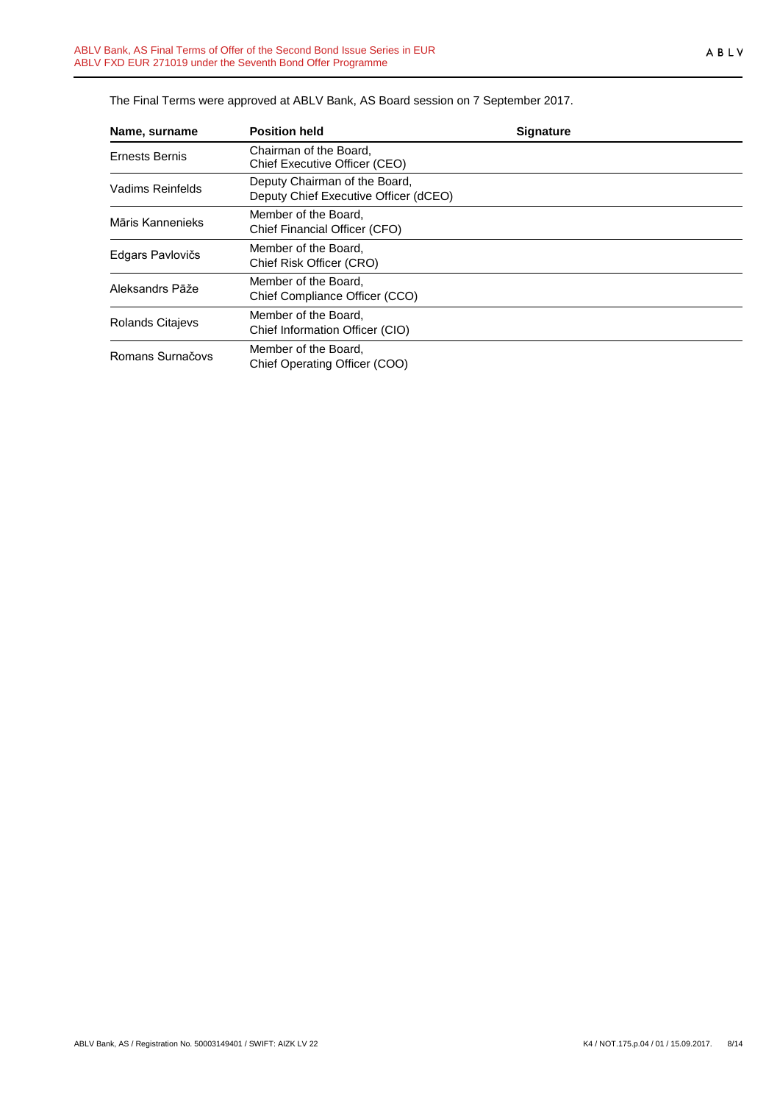| Name, surname           | <b>Position held</b>                                                   | <b>Signature</b> |
|-------------------------|------------------------------------------------------------------------|------------------|
| <b>Ernests Bernis</b>   | Chairman of the Board,<br>Chief Executive Officer (CEO)                |                  |
| Vadims Reinfelds        | Deputy Chairman of the Board,<br>Deputy Chief Executive Officer (dCEO) |                  |
| Māris Kannenieks        | Member of the Board.<br>Chief Financial Officer (CFO)                  |                  |
| Edgars Pavlovičs        | Member of the Board,<br>Chief Risk Officer (CRO)                       |                  |
| Aleksandrs Pāže         | Member of the Board,<br>Chief Compliance Officer (CCO)                 |                  |
| <b>Rolands Citajevs</b> | Member of the Board,<br>Chief Information Officer (CIO)                |                  |
| Romans Surnačovs        | Member of the Board.<br>Chief Operating Officer (COO)                  |                  |

The Final Terms were approved at ABLV Bank, AS Board session on 7 September 2017.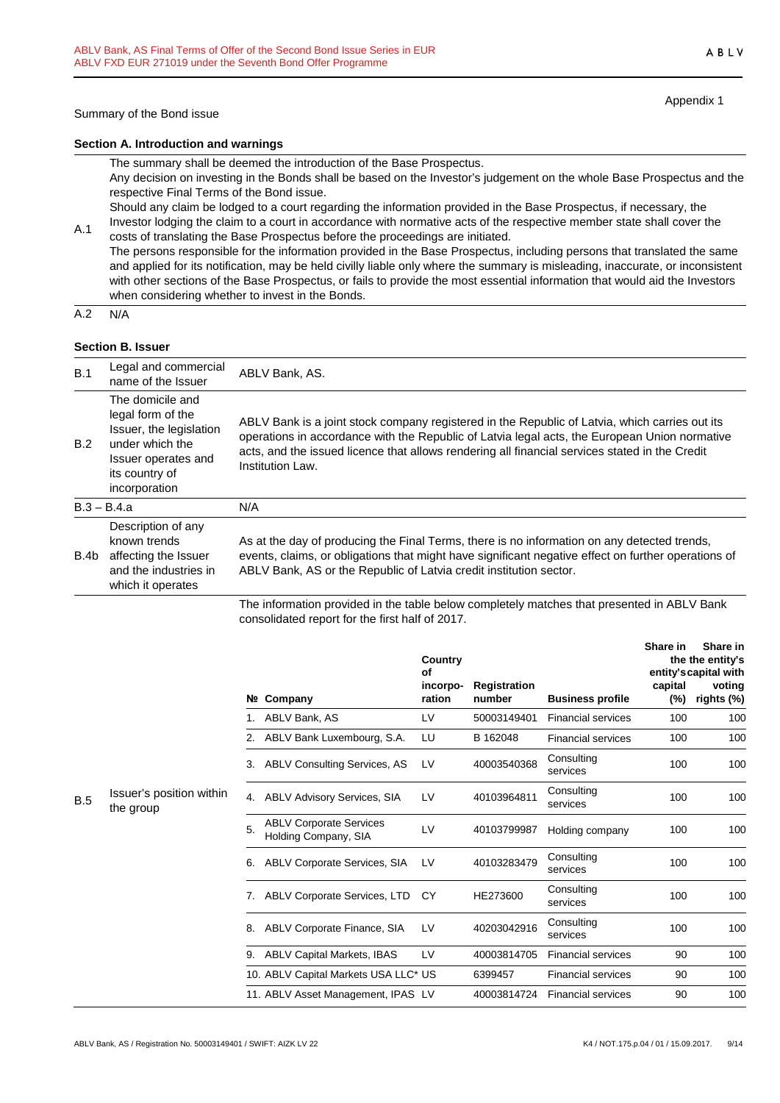Appendix 1

#### **Section A. Introduction and warnings**

The summary shall be deemed the introduction of the Base Prospectus.

Any decision on investing in the Bonds shall be based on the Investor's judgement on the whole Base Prospectus and the respective Final Terms of the Bond issue.

Should any claim be lodged to a court regarding the information provided in the Base Prospectus, if necessary, the Investor lodging the claim to a court in accordance with normative acts of the respective member state shall cover the

A.1 costs of translating the Base Prospectus before the proceedings are initiated. The persons responsible for the information provided in the Base Prospectus, including persons that translated the same and applied for its notification, may be held civilly liable only where the summary is misleading, inaccurate, or inconsistent with other sections of the Base Prospectus, or fails to provide the most essential information that would aid the Investors when considering whether to invest in the Bonds.

 $A.2 N/A$ 

## **Section B. Issuer**

| B.1  | Legal and commercial<br>name of the Issuer                                                                                                    | ABLV Bank, AS.                                                                                                                                                                                                                                                                                                        |
|------|-----------------------------------------------------------------------------------------------------------------------------------------------|-----------------------------------------------------------------------------------------------------------------------------------------------------------------------------------------------------------------------------------------------------------------------------------------------------------------------|
| B.2  | The domicile and<br>legal form of the<br>Issuer, the legislation<br>under which the<br>Issuer operates and<br>its country of<br>incorporation | ABLV Bank is a joint stock company registered in the Republic of Latvia, which carries out its<br>operations in accordance with the Republic of Latvia legal acts, the European Union normative<br>acts, and the issued licence that allows rendering all financial services stated in the Credit<br>Institution Law. |
|      | $B.3 - B.4.a$                                                                                                                                 | N/A                                                                                                                                                                                                                                                                                                                   |
| B.4b | Description of any<br>known trends<br>affecting the Issuer<br>and the industries in<br>which it operates                                      | As at the day of producing the Final Terms, there is no information on any detected trends,<br>events, claims, or obligations that might have significant negative effect on further operations of<br>ABLV Bank, AS or the Republic of Latvia credit institution sector.                                              |
|      |                                                                                                                                               | The information provided in the table below completely matches that presented in ABLV Bank                                                                                                                                                                                                                            |

The information provided in the table below completely matches that presented in ABLV Bank consolidated report for the first half of 2017.

|            |                                       |    |                                                        | Country<br>Οf<br>incorpo- | Registration |                           | Share in<br>capital | Share in<br>the the entity's<br>entity's capital with<br>voting |
|------------|---------------------------------------|----|--------------------------------------------------------|---------------------------|--------------|---------------------------|---------------------|-----------------------------------------------------------------|
|            |                                       |    | Nº Company                                             | ration                    | number       | <b>Business profile</b>   | (%)                 | rights (%)                                                      |
|            |                                       |    | ABLV Bank, AS                                          | LV                        | 50003149401  | <b>Financial services</b> | 100                 | 100                                                             |
|            |                                       |    | ABLV Bank Luxembourg, S.A.                             | LU                        | B 162048     | <b>Financial services</b> | 100                 | 100                                                             |
|            |                                       | 3. | <b>ABLV Consulting Services, AS</b>                    | LV                        | 40003540368  | Consulting<br>services    | 100                 | 100                                                             |
| <b>B.5</b> | Issuer's position within<br>the group | 4. | <b>ABLV Advisory Services, SIA</b>                     | LV                        | 40103964811  | Consulting<br>services    | 100                 | 100                                                             |
|            |                                       | 5. | <b>ABLV Corporate Services</b><br>Holding Company, SIA | LV                        | 40103799987  | Holding company           | 100                 | 100                                                             |
|            |                                       | 6. | ABLV Corporate Services, SIA                           | LV                        | 40103283479  | Consulting<br>services    | 100                 | 100                                                             |
|            |                                       | 7. | ABLV Corporate Services, LTD                           | CY                        | HE273600     | Consulting<br>services    | 100                 | 100                                                             |
|            |                                       | 8. | ABLV Corporate Finance, SIA                            | LV                        | 40203042916  | Consulting<br>services    | 100                 | 100                                                             |
|            |                                       | 9. | <b>ABLV Capital Markets, IBAS</b>                      | LV                        | 40003814705  | <b>Financial services</b> | 90                  | 100                                                             |
|            |                                       |    | 10. ABLV Capital Markets USA LLC* US                   |                           | 6399457      | <b>Financial services</b> | 90                  | 100                                                             |
|            |                                       |    | 11. ABLV Asset Management, IPAS LV                     |                           | 40003814724  | <b>Financial services</b> | 90                  | 100                                                             |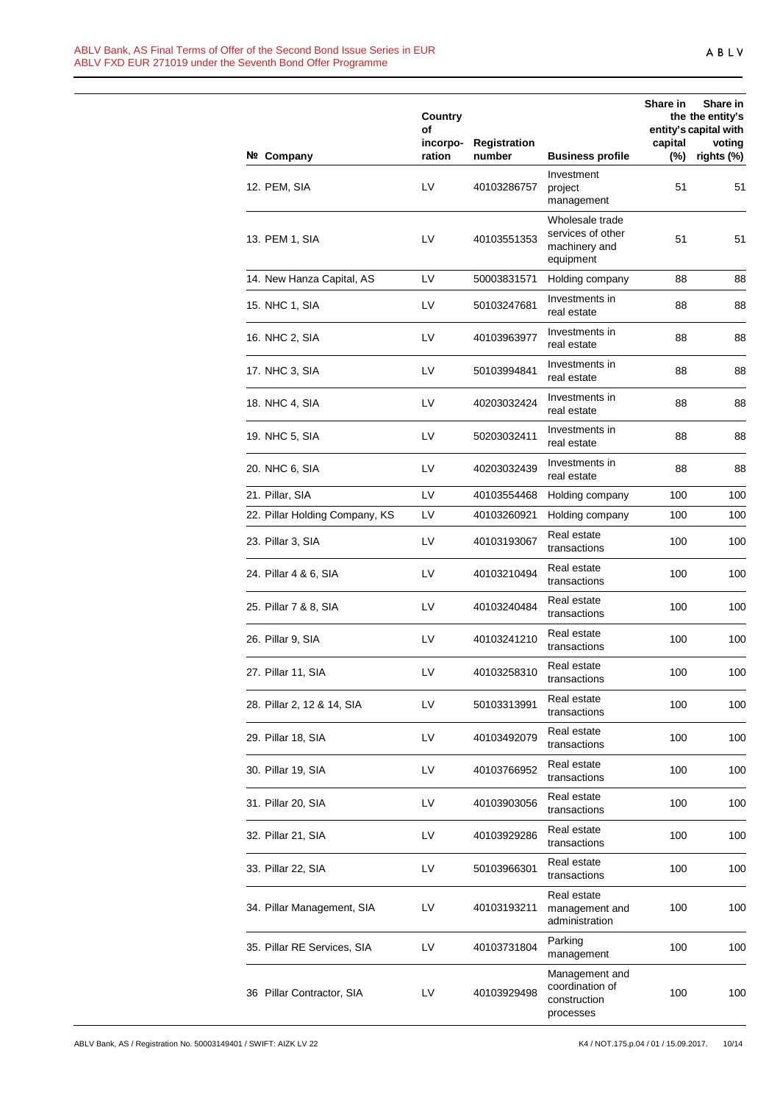|                                | Country<br>of      |                               |                                                                    | Share in       | Share in<br>the the entity's<br>entity's capital with |
|--------------------------------|--------------------|-------------------------------|--------------------------------------------------------------------|----------------|-------------------------------------------------------|
| Nº Company                     | incorpo-<br>ration | <b>Registration</b><br>number | <b>Business profile</b>                                            | capital<br>(%) | voting<br>rights (%)                                  |
| 12. PEM, SIA                   | LV                 | 40103286757                   | Investment<br>project<br>management                                | 51             | 51                                                    |
| 13. PEM 1, SIA                 | LV                 | 40103551353                   | Wholesale trade<br>services of other<br>machinery and<br>equipment | 51             | 51                                                    |
| 14. New Hanza Capital, AS      | LV                 | 50003831571                   | Holding company                                                    | 88             | 88                                                    |
| 15. NHC 1, SIA                 | LV                 | 50103247681                   | Investments in<br>real estate                                      | 88             | 88                                                    |
| 16. NHC 2, SIA                 | LV                 | 40103963977                   | Investments in<br>real estate                                      | 88             | 88                                                    |
| 17. NHC 3, SIA                 | LV                 | 50103994841                   | Investments in<br>real estate                                      | 88             | 88                                                    |
| 18. NHC 4, SIA                 | LV                 | 40203032424                   | Investments in<br>real estate                                      | 88             | 88                                                    |
| 19. NHC 5, SIA                 | LV                 | 50203032411                   | Investments in<br>real estate                                      | 88             | 88                                                    |
| 20. NHC 6, SIA                 | LV                 | 40203032439                   | Investments in<br>real estate                                      | 88             | 88                                                    |
| 21. Pillar, SIA                | LV                 | 40103554468                   | Holding company                                                    | 100            | 100                                                   |
| 22. Pillar Holding Company, KS | LV                 | 40103260921                   | Holding company                                                    | 100            | 100                                                   |
| 23. Pillar 3, SIA              | LV                 | 40103193067                   | Real estate<br>transactions                                        | 100            | 100                                                   |
| 24. Pillar 4 & 6, SIA          | LV                 | 40103210494                   | Real estate<br>transactions                                        | 100            | 100                                                   |
| 25. Pillar 7 & 8, SIA          | LV                 | 40103240484                   | Real estate<br>transactions                                        | 100            | 100                                                   |
| 26. Pillar 9, SIA              | LV                 | 40103241210                   | Real estate<br>transactions                                        | 100            | 100                                                   |
| 27. Pillar 11, SIA             | LV                 | 40103258310                   | Real estate<br>transactions                                        | 100            | 100                                                   |
| 28. Pillar 2, 12 & 14, SIA     | LV                 | 50103313991                   | Real estate<br>transactions                                        | 100            | 100                                                   |
| 29. Pillar 18, SIA             | LV                 | 40103492079                   | Real estate<br>transactions                                        | 100            | 100                                                   |
| 30. Pillar 19, SIA             | LV                 | 40103766952                   | Real estate<br>transactions                                        | 100            | 100                                                   |
| 31. Pillar 20, SIA             | LV                 | 40103903056                   | Real estate<br>transactions                                        | 100            | 100                                                   |
| 32. Pillar 21, SIA             | LV                 | 40103929286                   | Real estate<br>transactions                                        | 100            | 100                                                   |
| 33. Pillar 22, SIA             | LV                 | 50103966301                   | Real estate<br>transactions                                        | 100            | 100                                                   |
| 34. Pillar Management, SIA     | LV                 | 40103193211                   | Real estate<br>management and<br>administration                    | 100            | 100                                                   |
| 35. Pillar RE Services, SIA    | LV                 | 40103731804                   | Parking<br>management                                              | 100            | 100                                                   |
| 36 Pillar Contractor, SIA      | LV                 | 40103929498                   | Management and<br>coordination of<br>construction<br>processes     | 100            | 100                                                   |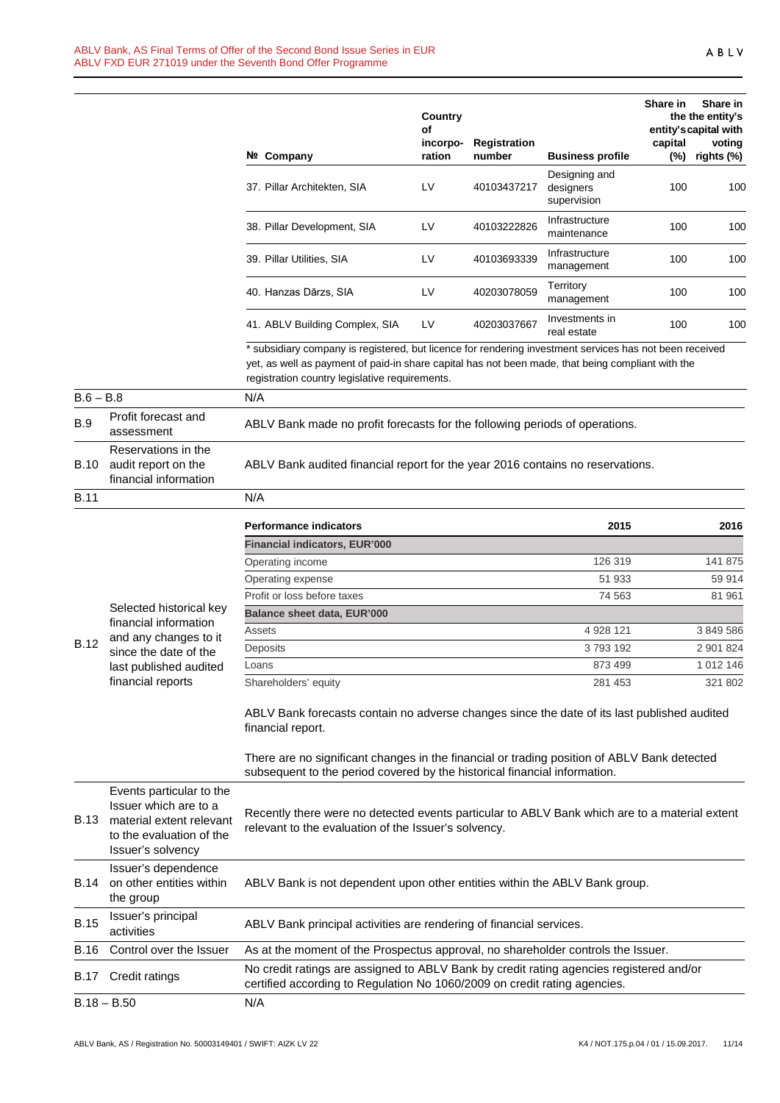|             |                                                                                                                                | Nº Company                                                                                                                                                                                                                                                     | Country<br>οf<br>incorpo-<br>ration | <b>Registration</b><br>number | <b>Business profile</b>                   | Share in<br>capital<br>$(\%)$ | Share in<br>the the entity's<br>entity's capital with<br>voting<br>rights (%) |
|-------------|--------------------------------------------------------------------------------------------------------------------------------|----------------------------------------------------------------------------------------------------------------------------------------------------------------------------------------------------------------------------------------------------------------|-------------------------------------|-------------------------------|-------------------------------------------|-------------------------------|-------------------------------------------------------------------------------|
|             |                                                                                                                                | 37. Pillar Architekten, SIA                                                                                                                                                                                                                                    | LV                                  | 40103437217                   | Designing and<br>designers<br>supervision | 100                           | 100                                                                           |
|             |                                                                                                                                | 38. Pillar Development, SIA                                                                                                                                                                                                                                    | LV                                  | 40103222826                   | Infrastructure<br>maintenance             | 100                           | 100                                                                           |
|             |                                                                                                                                | 39. Pillar Utilities, SIA                                                                                                                                                                                                                                      | LV                                  | 40103693339                   | Infrastructure<br>management              | 100                           | 10 <sub>C</sub>                                                               |
|             |                                                                                                                                | 40. Hanzas Dārzs, SIA                                                                                                                                                                                                                                          | LV                                  | 40203078059                   | Territory<br>management                   | 100                           | 100                                                                           |
|             |                                                                                                                                | 41. ABLV Building Complex, SIA                                                                                                                                                                                                                                 | LV                                  | 40203037667                   | Investments in<br>real estate             | 100                           | 10 <sub>C</sub>                                                               |
|             |                                                                                                                                | * subsidiary company is registered, but licence for rendering investment services has not been received<br>yet, as well as payment of paid-in share capital has not been made, that being compliant with the<br>registration country legislative requirements. |                                     |                               |                                           |                               |                                                                               |
| $B.6 - B.8$ |                                                                                                                                | N/A                                                                                                                                                                                                                                                            |                                     |                               |                                           |                               |                                                                               |
| <b>B.9</b>  | Profit forecast and<br>assessment                                                                                              | ABLV Bank made no profit forecasts for the following periods of operations.                                                                                                                                                                                    |                                     |                               |                                           |                               |                                                                               |
| B.10        | Reservations in the<br>audit report on the<br>financial information                                                            | ABLV Bank audited financial report for the year 2016 contains no reservations.                                                                                                                                                                                 |                                     |                               |                                           |                               |                                                                               |
| <b>B.11</b> |                                                                                                                                | N/A                                                                                                                                                                                                                                                            |                                     |                               |                                           |                               |                                                                               |
|             |                                                                                                                                | <b>Performance indicators</b><br><b>Financial indicators, EUR'000</b>                                                                                                                                                                                          |                                     |                               | 2015                                      |                               | 2016                                                                          |
|             |                                                                                                                                | Operating income                                                                                                                                                                                                                                               |                                     |                               | 126 319                                   |                               | 141 875                                                                       |
|             |                                                                                                                                | Operating expense                                                                                                                                                                                                                                              |                                     |                               | 51 933                                    |                               | 59 914                                                                        |
|             |                                                                                                                                | Profit or loss before taxes                                                                                                                                                                                                                                    |                                     |                               | 74 563                                    |                               | 81 961                                                                        |
|             | Selected historical key<br>financial information                                                                               | <b>Balance sheet data, EUR'000</b>                                                                                                                                                                                                                             |                                     |                               |                                           |                               |                                                                               |
|             | and any changes to it                                                                                                          | Assets                                                                                                                                                                                                                                                         |                                     |                               | 4 928 121                                 |                               | 3 849 586                                                                     |
| <b>B.12</b> | since the date of the                                                                                                          | Deposits                                                                                                                                                                                                                                                       |                                     |                               | 3793192                                   |                               | 2 901 824                                                                     |
|             | last published audited                                                                                                         | Loans                                                                                                                                                                                                                                                          |                                     |                               | 873 499                                   |                               | 1 012 146                                                                     |
|             | financial reports                                                                                                              | Shareholders' equity<br>ABLV Bank forecasts contain no adverse changes since the date of its last published audited<br>financial report.                                                                                                                       |                                     |                               | 281 453                                   |                               | 321 802                                                                       |
|             |                                                                                                                                | There are no significant changes in the financial or trading position of ABLV Bank detected<br>subsequent to the period covered by the historical financial information.                                                                                       |                                     |                               |                                           |                               |                                                                               |
| <b>B.13</b> | Events particular to the<br>Issuer which are to a<br>material extent relevant<br>to the evaluation of the<br>Issuer's solvency | Recently there were no detected events particular to ABLV Bank which are to a material extent<br>relevant to the evaluation of the Issuer's solvency.                                                                                                          |                                     |                               |                                           |                               |                                                                               |
| B.14        | Issuer's dependence<br>on other entities within<br>the group                                                                   | ABLV Bank is not dependent upon other entities within the ABLV Bank group.                                                                                                                                                                                     |                                     |                               |                                           |                               |                                                                               |
| <b>B.15</b> | Issuer's principal<br>activities                                                                                               | ABLV Bank principal activities are rendering of financial services.                                                                                                                                                                                            |                                     |                               |                                           |                               |                                                                               |
| B.16        | Control over the Issuer                                                                                                        | As at the moment of the Prospectus approval, no shareholder controls the Issuer.                                                                                                                                                                               |                                     |                               |                                           |                               |                                                                               |
| B.17        | Credit ratings                                                                                                                 | No credit ratings are assigned to ABLV Bank by credit rating agencies registered and/or<br>certified according to Regulation No 1060/2009 on credit rating agencies.                                                                                           |                                     |                               |                                           |                               |                                                                               |
|             | $B.18 - B.50$                                                                                                                  | N/A                                                                                                                                                                                                                                                            |                                     |                               |                                           |                               |                                                                               |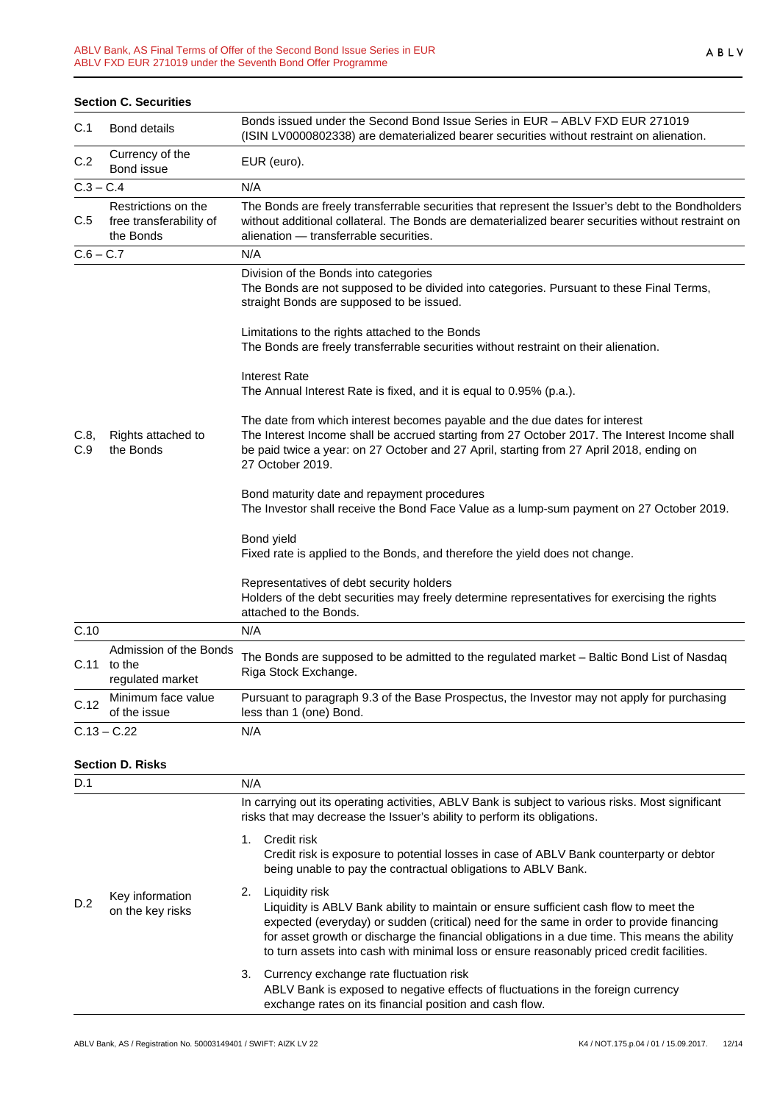|             | <b>Section C. Securities</b>                                |                                                                                                                                                                                                                                                                                              |
|-------------|-------------------------------------------------------------|----------------------------------------------------------------------------------------------------------------------------------------------------------------------------------------------------------------------------------------------------------------------------------------------|
| C.1         | <b>Bond details</b>                                         | Bonds issued under the Second Bond Issue Series in EUR - ABLV FXD EUR 271019<br>(ISIN LV0000802338) are dematerialized bearer securities without restraint on alienation.                                                                                                                    |
| C.2         | Currency of the<br>Bond issue                               | EUR (euro).                                                                                                                                                                                                                                                                                  |
| $C.3 - C.4$ |                                                             | N/A                                                                                                                                                                                                                                                                                          |
| C.5         | Restrictions on the<br>free transferability of<br>the Bonds | The Bonds are freely transferrable securities that represent the Issuer's debt to the Bondholders<br>without additional collateral. The Bonds are dematerialized bearer securities without restraint on<br>alienation - transferrable securities.                                            |
| $C.6 - C.7$ |                                                             | N/A                                                                                                                                                                                                                                                                                          |
|             |                                                             | Division of the Bonds into categories<br>The Bonds are not supposed to be divided into categories. Pursuant to these Final Terms,<br>straight Bonds are supposed to be issued.                                                                                                               |
|             |                                                             | Limitations to the rights attached to the Bonds<br>The Bonds are freely transferrable securities without restraint on their alienation.                                                                                                                                                      |
|             |                                                             | <b>Interest Rate</b><br>The Annual Interest Rate is fixed, and it is equal to 0.95% (p.a.).                                                                                                                                                                                                  |
| C.8,<br>C.9 | Rights attached to<br>the Bonds                             | The date from which interest becomes payable and the due dates for interest<br>The Interest Income shall be accrued starting from 27 October 2017. The Interest Income shall<br>be paid twice a year: on 27 October and 27 April, starting from 27 April 2018, ending on<br>27 October 2019. |
|             |                                                             | Bond maturity date and repayment procedures<br>The Investor shall receive the Bond Face Value as a lump-sum payment on 27 October 2019.                                                                                                                                                      |
|             |                                                             | Bond yield                                                                                                                                                                                                                                                                                   |
|             |                                                             | Fixed rate is applied to the Bonds, and therefore the yield does not change.                                                                                                                                                                                                                 |
|             |                                                             | Representatives of debt security holders<br>Holders of the debt securities may freely determine representatives for exercising the rights<br>attached to the Bonds.                                                                                                                          |
| C.10        |                                                             | N/A                                                                                                                                                                                                                                                                                          |
| C.11        | Admission of the Bonds<br>to the<br>regulated market        | The Bonds are supposed to be admitted to the regulated market - Baltic Bond List of Nasdaq<br>Riga Stock Exchange.                                                                                                                                                                           |
| C.12        | Minimum face value<br>of the issue                          | Pursuant to paragraph 9.3 of the Base Prospectus, the Investor may not apply for purchasing<br>less than 1 (one) Bond.                                                                                                                                                                       |
|             | $C.13 - C.22$                                               | N/A                                                                                                                                                                                                                                                                                          |
|             | <b>Section D. Risks</b>                                     |                                                                                                                                                                                                                                                                                              |
| D.1         |                                                             | N/A                                                                                                                                                                                                                                                                                          |
|             |                                                             | In carrying out its operating activities, ABLV Bank is subject to various risks. Most significant                                                                                                                                                                                            |

risks that may decrease the Issuer's ability to perform its obligations.

|     |                                     |    | Credit risk<br>Credit risk is exposure to potential losses in case of ABLV Bank counterparty or debtor<br>being unable to pay the contractual obligations to ABLV Bank.                                                                                                                                                                                                                           |
|-----|-------------------------------------|----|---------------------------------------------------------------------------------------------------------------------------------------------------------------------------------------------------------------------------------------------------------------------------------------------------------------------------------------------------------------------------------------------------|
| D.2 | Key information<br>on the key risks | 2. | Liquidity risk<br>Liquidity is ABLV Bank ability to maintain or ensure sufficient cash flow to meet the<br>expected (everyday) or sudden (critical) need for the same in order to provide financing<br>for asset growth or discharge the financial obligations in a due time. This means the ability<br>to turn assets into cash with minimal loss or ensure reasonably priced credit facilities. |
|     |                                     |    | 3. Currency exchange rate fluctuation risk<br>ABLV Bank is exposed to negative effects of fluctuations in the foreign currency<br>exchange rates on its financial position and cash flow.                                                                                                                                                                                                         |
|     |                                     |    |                                                                                                                                                                                                                                                                                                                                                                                                   |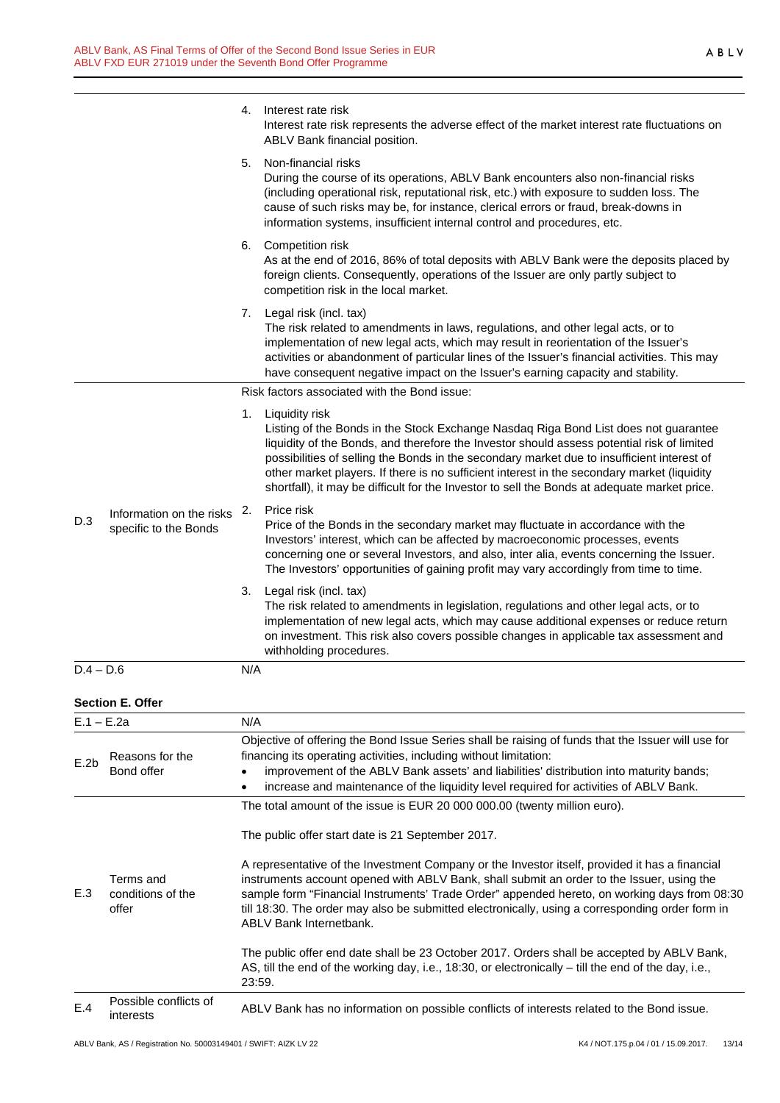|              |                                                   |                                                                                                                                                                                                                                                                                                                                                             | 4. Interest rate risk<br>Interest rate risk represents the adverse effect of the market interest rate fluctuations on<br>ABLV Bank financial position.                                                                                                                                                                                                                                                                                                                                              |
|--------------|---------------------------------------------------|-------------------------------------------------------------------------------------------------------------------------------------------------------------------------------------------------------------------------------------------------------------------------------------------------------------------------------------------------------------|-----------------------------------------------------------------------------------------------------------------------------------------------------------------------------------------------------------------------------------------------------------------------------------------------------------------------------------------------------------------------------------------------------------------------------------------------------------------------------------------------------|
|              |                                                   | 5.                                                                                                                                                                                                                                                                                                                                                          | Non-financial risks<br>During the course of its operations, ABLV Bank encounters also non-financial risks<br>(including operational risk, reputational risk, etc.) with exposure to sudden loss. The<br>cause of such risks may be, for instance, clerical errors or fraud, break-downs in<br>information systems, insufficient internal control and procedures, etc.                                                                                                                               |
|              |                                                   |                                                                                                                                                                                                                                                                                                                                                             | 6. Competition risk<br>As at the end of 2016, 86% of total deposits with ABLV Bank were the deposits placed by<br>foreign clients. Consequently, operations of the Issuer are only partly subject to<br>competition risk in the local market.                                                                                                                                                                                                                                                       |
|              |                                                   |                                                                                                                                                                                                                                                                                                                                                             | 7. Legal risk (incl. tax)<br>The risk related to amendments in laws, regulations, and other legal acts, or to<br>implementation of new legal acts, which may result in reorientation of the Issuer's<br>activities or abandonment of particular lines of the Issuer's financial activities. This may<br>have consequent negative impact on the Issuer's earning capacity and stability.                                                                                                             |
|              |                                                   |                                                                                                                                                                                                                                                                                                                                                             | Risk factors associated with the Bond issue:                                                                                                                                                                                                                                                                                                                                                                                                                                                        |
|              |                                                   |                                                                                                                                                                                                                                                                                                                                                             | 1. Liquidity risk<br>Listing of the Bonds in the Stock Exchange Nasdaq Riga Bond List does not guarantee<br>liquidity of the Bonds, and therefore the Investor should assess potential risk of limited<br>possibilities of selling the Bonds in the secondary market due to insufficient interest of<br>other market players. If there is no sufficient interest in the secondary market (liquidity<br>shortfall), it may be difficult for the Investor to sell the Bonds at adequate market price. |
| D.3          | Information on the risks<br>specific to the Bonds | 2.                                                                                                                                                                                                                                                                                                                                                          | Price risk<br>Price of the Bonds in the secondary market may fluctuate in accordance with the<br>Investors' interest, which can be affected by macroeconomic processes, events<br>concerning one or several Investors, and also, inter alia, events concerning the Issuer.<br>The Investors' opportunities of gaining profit may vary accordingly from time to time.                                                                                                                                |
|              |                                                   |                                                                                                                                                                                                                                                                                                                                                             | 3. Legal risk (incl. tax)<br>The risk related to amendments in legislation, regulations and other legal acts, or to<br>implementation of new legal acts, which may cause additional expenses or reduce return<br>on investment. This risk also covers possible changes in applicable tax assessment and<br>withholding procedures.                                                                                                                                                                  |
| $D.4 - D.6$  |                                                   | N/A                                                                                                                                                                                                                                                                                                                                                         |                                                                                                                                                                                                                                                                                                                                                                                                                                                                                                     |
|              | <b>Section E. Offer</b>                           |                                                                                                                                                                                                                                                                                                                                                             |                                                                                                                                                                                                                                                                                                                                                                                                                                                                                                     |
| $E.1 - E.2a$ |                                                   | N/A                                                                                                                                                                                                                                                                                                                                                         |                                                                                                                                                                                                                                                                                                                                                                                                                                                                                                     |
| E.2b         | Reasons for the<br>Bond offer                     | Objective of offering the Bond Issue Series shall be raising of funds that the Issuer will use for<br>financing its operating activities, including without limitation:<br>improvement of the ABLV Bank assets' and liabilities' distribution into maturity bands;<br>increase and maintenance of the liquidity level required for activities of ABLV Bank. |                                                                                                                                                                                                                                                                                                                                                                                                                                                                                                     |
|              |                                                   |                                                                                                                                                                                                                                                                                                                                                             | The total amount of the issue is EUR 20 000 000.00 (twenty million euro).                                                                                                                                                                                                                                                                                                                                                                                                                           |
|              |                                                   |                                                                                                                                                                                                                                                                                                                                                             | The public offer start date is 21 September 2017.                                                                                                                                                                                                                                                                                                                                                                                                                                                   |
| E.3          | Terms and<br>conditions of the<br>offer           |                                                                                                                                                                                                                                                                                                                                                             | A representative of the Investment Company or the Investor itself, provided it has a financial<br>instruments account opened with ABLV Bank, shall submit an order to the Issuer, using the<br>sample form "Financial Instruments' Trade Order" appended hereto, on working days from 08:30<br>till 18:30. The order may also be submitted electronically, using a corresponding order form in<br><b>ABLV Bank Internetbank.</b>                                                                    |
|              |                                                   | 23:59.                                                                                                                                                                                                                                                                                                                                                      | The public offer end date shall be 23 October 2017. Orders shall be accepted by ABLV Bank,<br>AS, till the end of the working day, i.e., 18:30, or electronically $-$ till the end of the day, i.e.,                                                                                                                                                                                                                                                                                                |
| E.4          | Possible conflicts of<br>interests                |                                                                                                                                                                                                                                                                                                                                                             | ABLV Bank has no information on possible conflicts of interests related to the Bond issue.                                                                                                                                                                                                                                                                                                                                                                                                          |